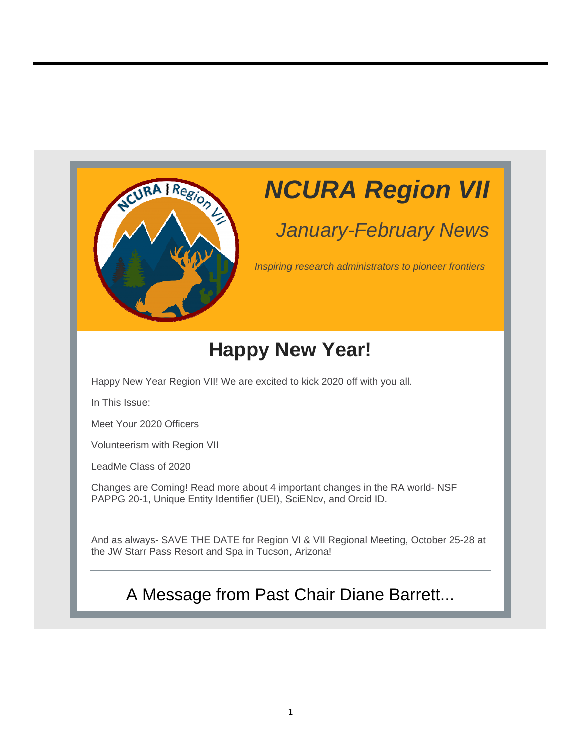

## *NCURA Region VII*

## *January-February News*

*Inspiring research administrators to pioneer frontiers*

## **Happy New Year!**

Happy New Year Region VII! We are excited to kick 2020 off with you all.

In This Issue:

Meet Your 2020 Officers

Volunteerism with Region VII

LeadMe Class of 2020

Changes are Coming! Read more about 4 important changes in the RA world- NSF PAPPG 20-1, Unique Entity Identifier (UEI), SciENcv, and Orcid ID.

And as always- SAVE THE DATE for Region VI & VII Regional Meeting, October 25-28 at the JW Starr Pass Resort and Spa in Tucson, Arizona!

## A Message from Past Chair Diane Barrett...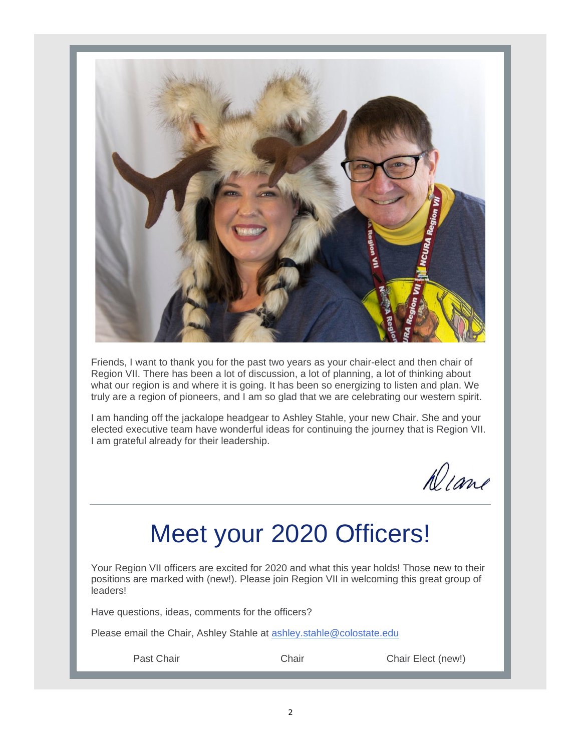

Friends, I want to thank you for the past two years as your chair-elect and then chair of Region VII. There has been a lot of discussion, a lot of planning, a lot of thinking about what our region is and where it is going. It has been so energizing to listen and plan. We truly are a region of pioneers, and I am so glad that we are celebrating our western spirit.

I am handing off the jackalope headgear to Ashley Stahle, your new Chair. She and your elected executive team have wonderful ideas for continuing the journey that is Region VII. I am grateful already for their leadership.

 $\sqrt{N}$ 

## Meet your 2020 Officers!

Your Region VII officers are excited for 2020 and what this year holds! Those new to their positions are marked with (new!). Please join Region VII in welcoming this great group of leaders!

Have questions, ideas, comments for the officers?

Please email the Chair, Ashley Stahle at ashley.stahle@colostate.edu

Past Chair **Chair** Chair Chair Chair Chair Elect (new!)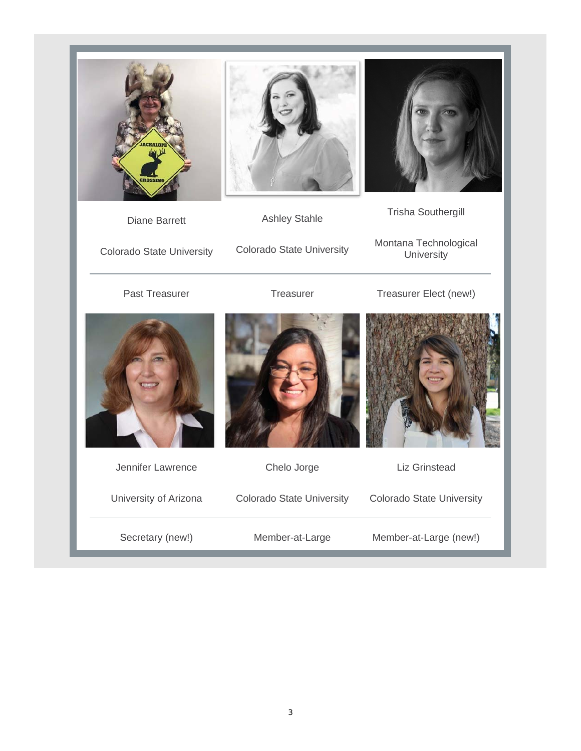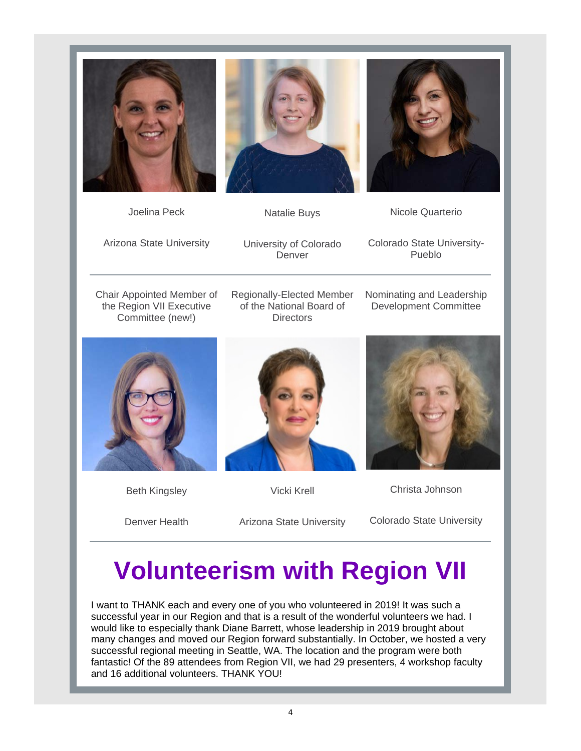





Joelina Peck

Nicole Quarterio

Arizona State University

University of Colorado Denver

Colorado State University-Pueblo

Chair Appointed Member of the Region VII Executive Committee (new!)

Regionally-Elected Member of the National Board of **Directors** 

Nominating and Leadership Development Committee



Beth Kingsley



Vicki Krell

Christa Johnson

Denver Health

Arizona State University

Colorado State University

## **Volunteerism with Region VII**

I want to THANK each and every one of you who volunteered in 2019! It was such a successful year in our Region and that is a result of the wonderful volunteers we had. I would like to especially thank Diane Barrett, whose leadership in 2019 brought about many changes and moved our Region forward substantially. In October, we hosted a very successful regional meeting in Seattle, WA. The location and the program were both fantastic! Of the 89 attendees from Region VII, we had 29 presenters, 4 workshop faculty and 16 additional volunteers. THANK YOU!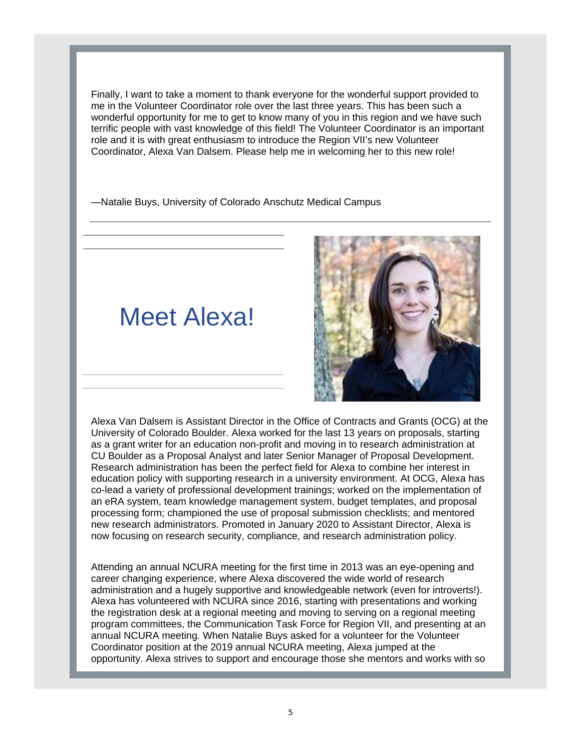Finally, I want to take a moment to thank everyone for the wonderful support provided to me in the Volunteer Coordinator role over the last three years. This has been such a wonderful opportunity for me to get to know many of you in this region and we have such terrific people with vast knowledge of this field! The Volunteer Coordinator is an important role and it is with great enthusiasm to introduce the Region VII's new Volunteer Coordinator, Alexa Van Dalsem. Please help me in welcoming her to this new role!

—Natalie Buys, University of Colorado Anschutz Medical Campus

## Meet Alexa!



Alexa Van Dalsem is Assistant Director in the Office of Contracts and Grants (OCG) at the University of Colorado Boulder. Alexa worked for the last 13 years on proposals, starting as a grant writer for an education non-profit and moving in to research administration at CU Boulder as a Proposal Analyst and later Senior Manager of Proposal Development. Research administration has been the perfect field for Alexa to combine her interest in education policy with supporting research in a university environment. At OCG, Alexa has co-lead a variety of professional development trainings; worked on the implementation of an eRA system, team knowledge management system, budget templates, and proposal processing form; championed the use of proposal submission checklists; and mentored new research administrators. Promoted in January 2020 to Assistant Director, Alexa is now focusing on research security, compliance, and research administration policy.

Attending an annual NCURA meeting for the first time in 2013 was an eye-opening and career changing experience, where Alexa discovered the wide world of research administration and a hugely supportive and knowledgeable network (even for introverts!). Alexa has volunteered with NCURA since 2016, starting with presentations and working the registration desk at a regional meeting and moving to serving on a regional meeting program committees, the Communication Task Force for Region VII, and presenting at an annual NCURA meeting. When Natalie Buys asked for a volunteer for the Volunteer Coordinator position at the 2019 annual NCURA meeting, Alexa jumped at the opportunity. Alexa strives to support and encourage those she mentors and works with so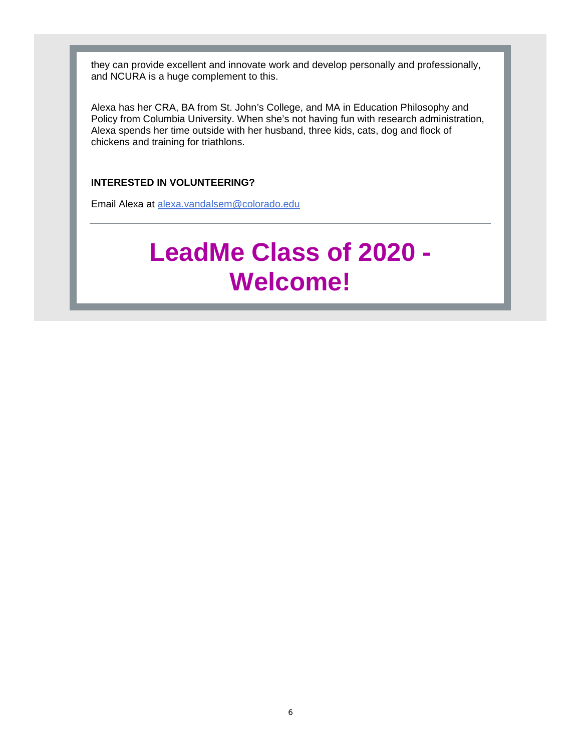they can provide excellent and innovate work and develop personally and professionally, and NCURA is a huge complement to this.

Alexa has her CRA, BA from St. John's College, and MA in Education Philosophy and Policy from Columbia University. When she's not having fun with research administration, Alexa spends her time outside with her husband, three kids, cats, dog and flock of chickens and training for triathlons.

#### **INTERESTED IN VOLUNTEERING?**

Email Alexa at alexa.vandalsem@colorado.edu

## **LeadMe Class of 2020 - Welcome!**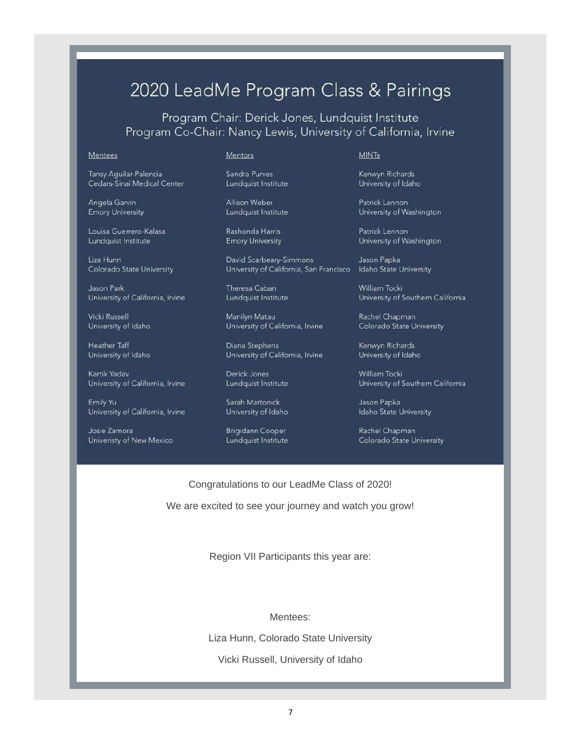### 2020 LeadMe Program Class & Pairings

Program Chair: Derick Jones, Lundquist Institute Program Co-Chair: Nancy Lewis, University of California, Irvine

#### **Mentees**

Tansy Aguilar-Palencia Cedars-Sinai Medical Center

Angela Garvin **Emory University** 

Louisa Guerrero-Kalasa Lundquist Institute

Liza Hunn Colorado State University

Jason Park University of California, Irvine

Vicki Russell University of Idaho

Heather Taff University of Idaho

Kartik Yadav University of California, Irvine

Emily Yu University of California, Irvine

Josie Zamora Univeristy of New Mexico

#### Mentors

Sandra Purves Lundquist Institute

Allison Weber Lundquist Institute

Rashonda Harris **Emory University** 

David Scarbeary-Simmons University of California, San Francisco Idaho State University

Theresa Caban Lundquist Institute

Manilyn Matau University of California, Irvine

Diana Stephens University of California, Irvine

Derick Jones Lundauist Institute

Sarah Martonick University of Idaho

Brigidann Cooper Lundquist Institute

#### **MINTs**

Kenwyn Richards University of Idaho

Patrick Lennon University of Washington

Patrick Lennon University of Washington

Jason Papka

William Tocki University of Southern California

Rachel Chapman Colorado State University

Kenwyn Richards University of Idaho

William Tocki University of Southern California

Jason Papka Idaho State University

Rachel Chapman Colorado State University

Congratulations to our LeadMe Class of 2020!

We are excited to see your journey and watch you grow!

Region VII Participants this year are:

Mentees:

Liza Hunn, Colorado State University

Vicki Russell, University of Idaho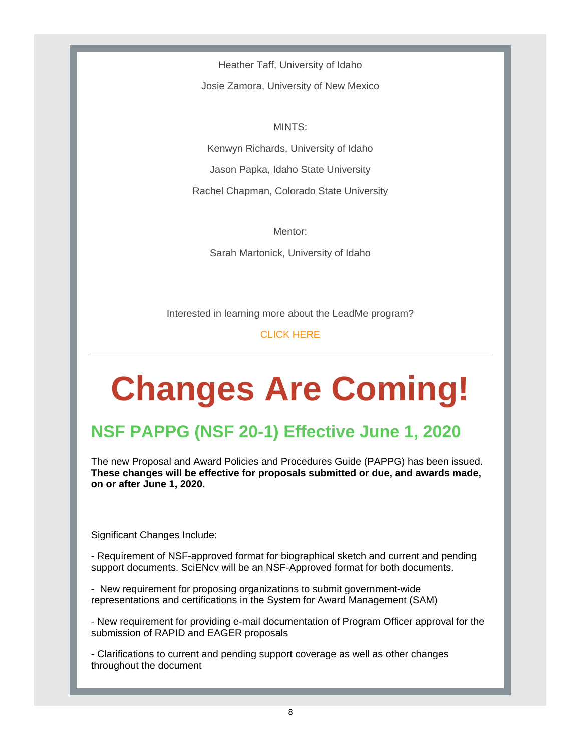Heather Taff, University of Idaho

Josie Zamora, University of New Mexico

MINTS: Kenwyn Richards, University of Idaho Jason Papka, Idaho State University Rachel Chapman, Colorado State University

Mentor:

Sarah Martonick, University of Idaho

Interested in learning more about the LeadMe program?

CLICK HERE

# **Changes Are Coming!**

## **NSF PAPPG (NSF 20-1) Effective June 1, 2020**

The new Proposal and Award Policies and Procedures Guide (PAPPG) has been issued. **These changes will be effective for proposals submitted or due, and awards made, on or after June 1, 2020.** 

Significant Changes Include:

- Requirement of NSF-approved format for biographical sketch and current and pending support documents. SciENcv will be an NSF-Approved format for both documents.

- New requirement for proposing organizations to submit government-wide representations and certifications in the System for Award Management (SAM)

- New requirement for providing e-mail documentation of Program Officer approval for the submission of RAPID and EAGER proposals

- Clarifications to current and pending support coverage as well as other changes throughout the document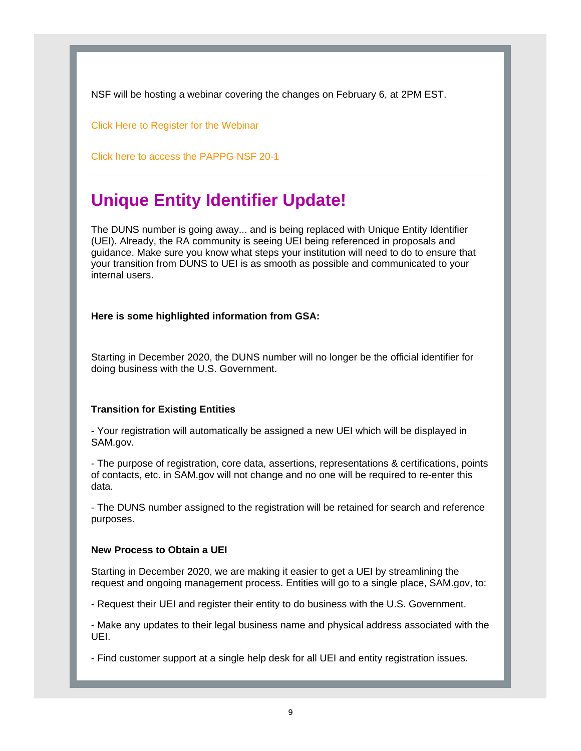NSF will be hosting a webinar covering the changes on February 6, at 2PM EST.

Click Here to Register for the Webinar

Click here to access the PAPPG NSF 20-1

### **Unique Entity Identifier Update!**

The DUNS number is going away... and is being replaced with Unique Entity Identifier (UEI). Already, the RA community is seeing UEI being referenced in proposals and guidance. Make sure you know what steps your institution will need to do to ensure that your transition from DUNS to UEI is as smooth as possible and communicated to your internal users.

**Here is some highlighted information from GSA:**

Starting in December 2020, the DUNS number will no longer be the official identifier for doing business with the U.S. Government.

#### **Transition for Existing Entities**

- Your registration will automatically be assigned a new UEI which will be displayed in SAM.gov.

- The purpose of registration, core data, assertions, representations & certifications, points of contacts, etc. in SAM.gov will not change and no one will be required to re-enter this data.

- The DUNS number assigned to the registration will be retained for search and reference purposes.

#### **New Process to Obtain a UEI**

Starting in December 2020, we are making it easier to get a UEI by streamlining the request and ongoing management process. Entities will go to a single place, SAM.gov, to:

- Request their UEI and register their entity to do business with the U.S. Government.

- Make any updates to their legal business name and physical address associated with the UEI.

- Find customer support at a single help desk for all UEI and entity registration issues.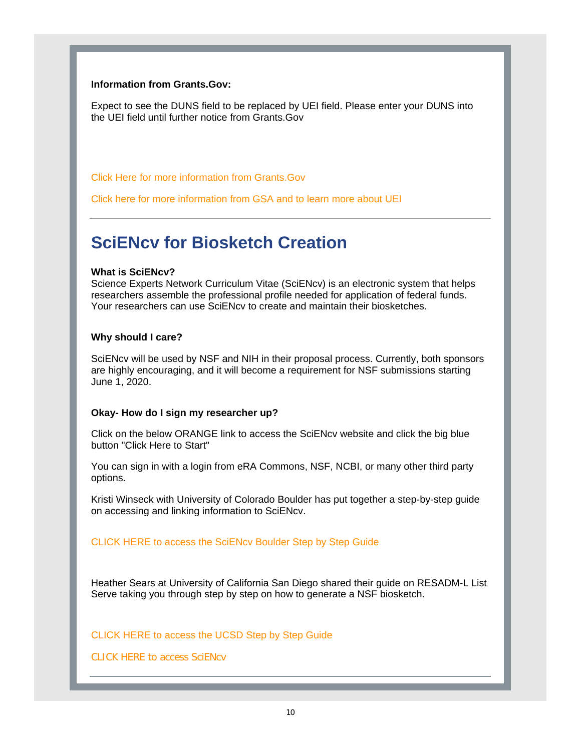#### **Information from Grants.Gov:**

Expect to see the DUNS field to be replaced by UEI field. Please enter your DUNS into the UEI field until further notice from Grants.Gov

Click Here for more information from Grants.Gov

Click here for more information from GSA and to learn more about UEI

### **SciENcv for Biosketch Creation**

#### **What is SciENcv?**

Science Experts Network Curriculum Vitae (SciENcv) is an electronic system that helps researchers assemble the professional profile needed for application of federal funds. Your researchers can use SciENcv to create and maintain their biosketches.

#### **Why should I care?**

SciENcv will be used by NSF and NIH in their proposal process. Currently, both sponsors are highly encouraging, and it will become a requirement for NSF submissions starting June 1, 2020.

#### **Okay- How do I sign my researcher up?**

Click on the below ORANGE link to access the SciENcv website and click the big blue button "Click Here to Start"

You can sign in with a login from eRA Commons, NSF, NCBI, or many other third party options.

Kristi Winseck with University of Colorado Boulder has put together a step-by-step guide on accessing and linking information to SciENcv.

#### CLICK HERE to access the SciENcv Boulder Step by Step Guide

Heather Sears at University of California San Diego shared their guide on RESADM-L List Serve taking you through step by step on how to generate a NSF biosketch.

CLICK HERE to access the UCSD Step by Step Guide

CLICK HERE to access SciENcv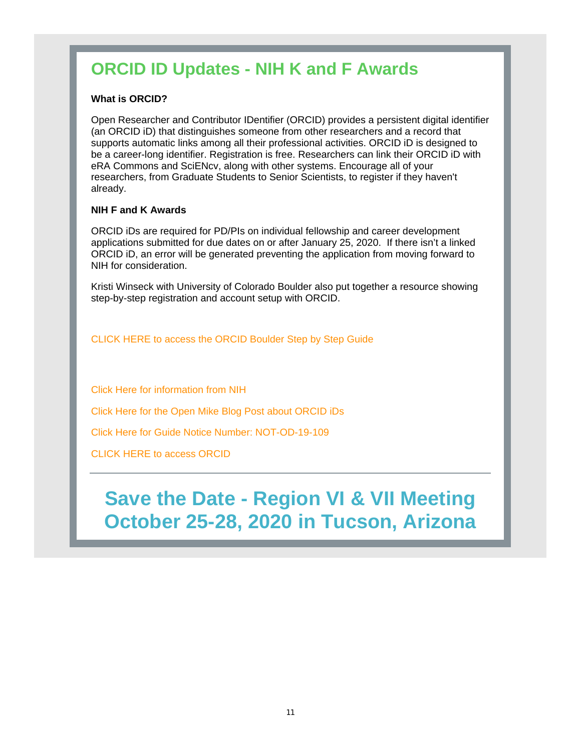## **ORCID ID Updates - NIH K and F Awards**

#### **What is ORCID?**

Open Researcher and Contributor IDentifier (ORCID) provides a persistent digital identifier (an ORCID iD) that distinguishes someone from other researchers and a record that supports automatic links among all their professional activities. ORCID iD is designed to be a career-long identifier. Registration is free. Researchers can link their ORCID iD with eRA Commons and SciENcv, along with other systems. Encourage all of your researchers, from Graduate Students to Senior Scientists, to register if they haven't already.

#### **NIH F and K Awards**

ORCID iDs are required for PD/PIs on individual fellowship and career development applications submitted for due dates on or after January 25, 2020. If there isn't a linked ORCID iD, an error will be generated preventing the application from moving forward to NIH for consideration.

Kristi Winseck with University of Colorado Boulder also put together a resource showing step-by-step registration and account setup with ORCID.

CLICK HERE to access the ORCID Boulder Step by Step Guide

Click Here for information from NIH

Click Here for the Open Mike Blog Post about ORCID iDs

Click Here for Guide Notice Number: NOT-OD-19-109

CLICK HERE to access ORCID

## **Save the Date - Region VI & VII Meeting October 25-28, 2020 in Tucson, Arizona**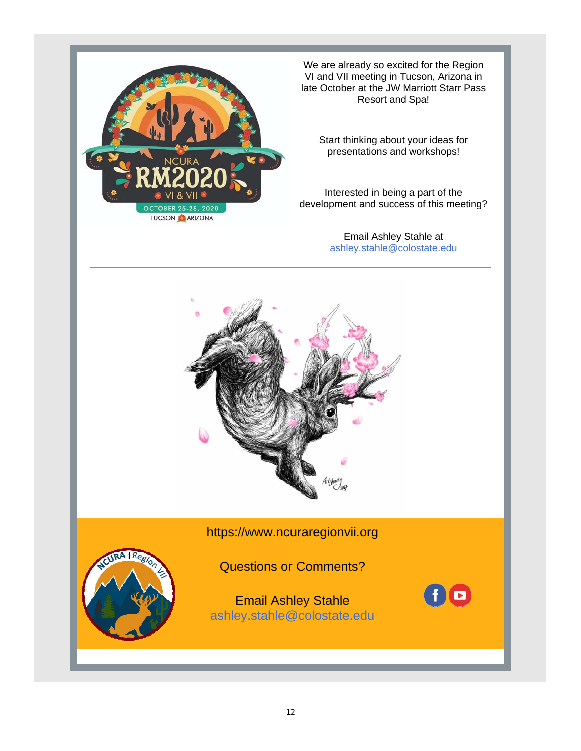

We are already so excited for the Region VI and VII meeting in Tucson, Arizona in late October at the JW Marriott Starr Pass Resort and Spa!

Start thinking about your ideas for presentations and workshops!

Interested in being a part of the development and success of this meeting?

> Email Ashley Stahle at ashley.stahle@colostate.edu



#### https://www.ncuraregionvii.org

#### Questions or Comments?

Email Ashley Stahle ashley.stahle@colostate.edu